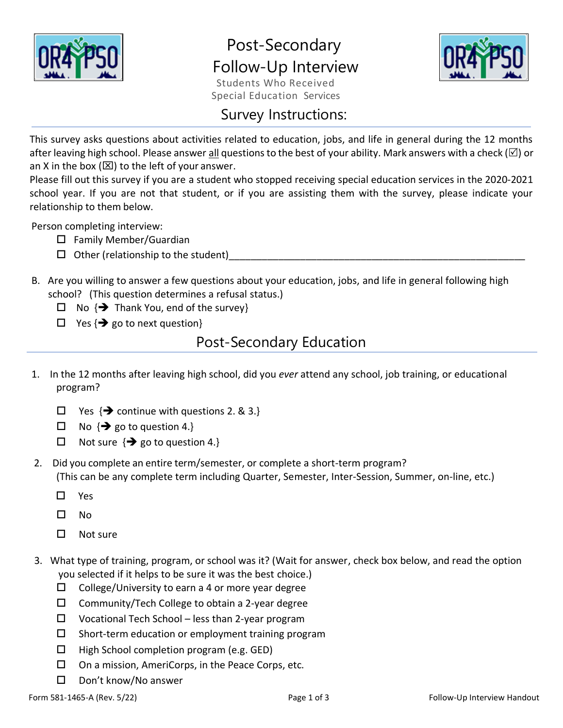

# Post-Secondary Follow-Up Interview



Students Who Received Special Education Services

### Survey Instructions:

This survey asks questions about activities related to education, jobs, and life in general during the 12 months after leaving high school. Please answer all questions to the best of your ability. Mark answers with a check ( $\boxtimes$ ) or an X in the box ( $\boxtimes$ ) to the left of your answer.

Please fill out this survey if you are a student who stopped receiving special education services in the 2020-2021 school year. If you are not that student, or if you are assisting them with the survey, please indicate your relationship to them below.

Person completing interview:

- $\Box$  Family Member/Guardian
- $\Box$  Other (relationship to the student)
- B. Are you willing to answer a few questions about your education, jobs, and life in general following high school? (This question determines a refusal status.)
	- $\Box$  No  $\{\rightarrow\}$  Thank You, end of the survey}
	- $\Box$  Yes { $\rightarrow$  go to next question}

## Post-Secondary Education

- 1. In the 12 months after leaving high school, did you *ever* attend any school, job training, or educational program?
	- $\Box$  Yes { $\rightarrow$  continue with questions 2. & 3.}
	- $\Box$  No  $\{\rightarrow\}$  go to question 4.}
	- $\Box$  Not sure {**→** go to question 4.}
- 2. Did you complete an entire term/semester, or complete a short-term program? (This can be any complete term including Quarter, Semester, Inter-Session, Summer, on-line, etc.)
	- Yes
	- $\square$  No
	- $\square$  Not sure
- 3. What type of training, program, or school was it? (Wait for answer, check box below, and read the option you selected if it helps to be sure it was the best choice.)
	- $\Box$  College/University to earn a 4 or more year degree
	- $\square$  Community/Tech College to obtain a 2-year degree
	- $\square$  Vocational Tech School less than 2-year program
	- $\square$  Short-term education or employment training program
	- $\Box$  High School completion program (e.g. GED)
	- $\square$  On a mission, AmeriCorps, in the Peace Corps, etc.
	- Don't know/No answer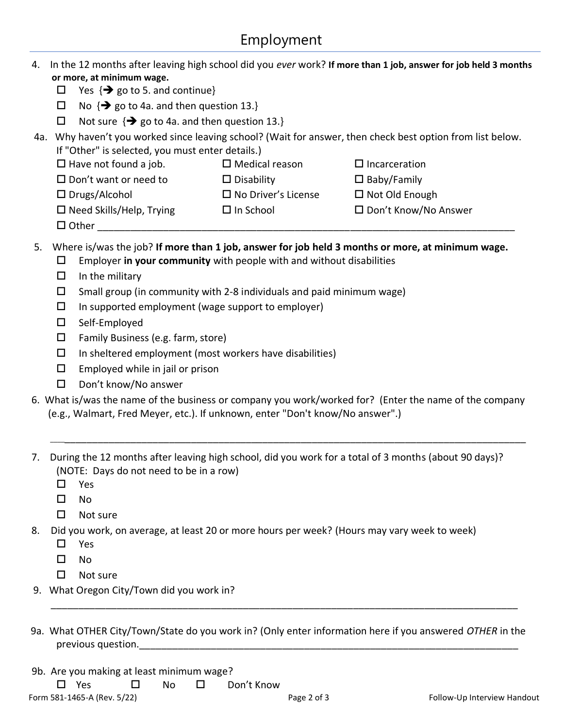|     | or more, at minimum wage.                                                                                                                                                                                                 |                                                                                                                                               | In the 12 months after leaving high school did you ever work? If more than 1 job, answer for job held 3 months |  |  |  |  |
|-----|---------------------------------------------------------------------------------------------------------------------------------------------------------------------------------------------------------------------------|-----------------------------------------------------------------------------------------------------------------------------------------------|----------------------------------------------------------------------------------------------------------------|--|--|--|--|
|     | Yes $\{\rightarrow\}$ go to 5. and continue}<br>$\Box$                                                                                                                                                                    |                                                                                                                                               |                                                                                                                |  |  |  |  |
|     | No $\{\rightarrow\}$ go to 4a. and then question 13.}<br>$\Box$                                                                                                                                                           |                                                                                                                                               |                                                                                                                |  |  |  |  |
|     | $\Box$                                                                                                                                                                                                                    |                                                                                                                                               |                                                                                                                |  |  |  |  |
| 4a. | Not sure $\{\rightarrow\}$ go to 4a. and then question 13.}<br>Why haven't you worked since leaving school? (Wait for answer, then check best option from list below.<br>If "Other" is selected, you must enter details.) |                                                                                                                                               |                                                                                                                |  |  |  |  |
|     |                                                                                                                                                                                                                           |                                                                                                                                               |                                                                                                                |  |  |  |  |
|     | $\Box$ Have not found a job.                                                                                                                                                                                              | $\square$ Medical reason                                                                                                                      | $\Box$ Incarceration                                                                                           |  |  |  |  |
|     | $\square$ Don't want or need to                                                                                                                                                                                           | $\Box$ Disability                                                                                                                             | $\square$ Baby/Family                                                                                          |  |  |  |  |
|     | $\Box$ Drugs/Alcohol                                                                                                                                                                                                      | $\Box$ No Driver's License                                                                                                                    | □ Not Old Enough                                                                                               |  |  |  |  |
|     | $\Box$ Need Skills/Help, Trying<br>$\Box$ Other                                                                                                                                                                           | $\Box$ In School                                                                                                                              | □ Don't Know/No Answer                                                                                         |  |  |  |  |
| 5.  | □<br>$\Box$<br>In the military<br>$\Box$<br>In supported employment (wage support to employer)<br>$\Box$<br>Self-Employed<br>$\Box$                                                                                       | Employer in your community with people with and without disabilities<br>Small group (in community with 2-8 individuals and paid minimum wage) | Where is/was the job? If more than 1 job, answer for job held 3 months or more, at minimum wage.               |  |  |  |  |
|     | $\Box$<br>Family Business (e.g. farm, store)                                                                                                                                                                              |                                                                                                                                               |                                                                                                                |  |  |  |  |
|     | $\Box$<br>In sheltered employment (most workers have disabilities)                                                                                                                                                        |                                                                                                                                               |                                                                                                                |  |  |  |  |
|     | Employed while in jail or prison<br>$\Box$                                                                                                                                                                                |                                                                                                                                               |                                                                                                                |  |  |  |  |
|     | Don't know/No answer<br>$\Box$                                                                                                                                                                                            |                                                                                                                                               |                                                                                                                |  |  |  |  |
|     |                                                                                                                                                                                                                           |                                                                                                                                               | 6. What is/was the name of the business or company you work/worked for? (Enter the name of the company         |  |  |  |  |
|     | (e.g., Walmart, Fred Meyer, etc.). If unknown, enter "Don't know/No answer".)                                                                                                                                             |                                                                                                                                               |                                                                                                                |  |  |  |  |
| 7.  | (NOTE: Days do not need to be in a row)<br>П<br>Yes<br>No<br>□<br>$\Box$<br>Not sure                                                                                                                                      |                                                                                                                                               | During the 12 months after leaving high school, did you work for a total of 3 months (about 90 days)?          |  |  |  |  |
| 8.  | Did you work, on average, at least 20 or more hours per week? (Hours may vary week to week)                                                                                                                               |                                                                                                                                               |                                                                                                                |  |  |  |  |
|     | $\Box$<br>Yes                                                                                                                                                                                                             |                                                                                                                                               |                                                                                                                |  |  |  |  |
|     | □<br>No                                                                                                                                                                                                                   |                                                                                                                                               |                                                                                                                |  |  |  |  |
|     | Not sure<br>□                                                                                                                                                                                                             |                                                                                                                                               |                                                                                                                |  |  |  |  |
|     | 9. What Oregon City/Town did you work in?                                                                                                                                                                                 |                                                                                                                                               |                                                                                                                |  |  |  |  |

9b. Are you making at least minimum wage?

□ Yes □ No □ Don't Know